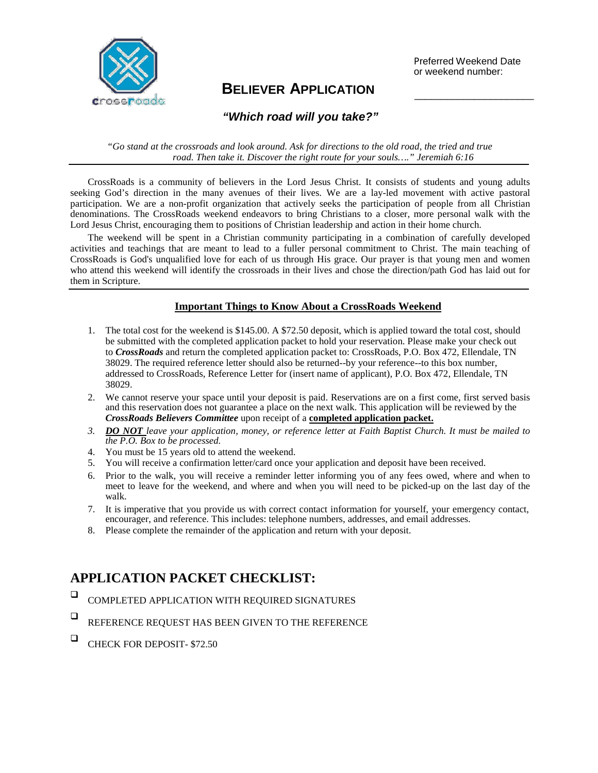

# **BELIEVER APPLICATION** \_\_\_\_\_\_\_\_\_\_\_\_\_\_\_\_\_\_\_\_\_\_

Preferred Weekend Date or weekend number:

## *"Which road will you take?"*

*"Go stand at the crossroads and look around. Ask for directions to the old road, the tried and true road. Then take it. Discover the right route for your souls…." Jeremiah 6:16*

CrossRoads is a community of believers in the Lord Jesus Christ. It consists of students and young adults seeking God's direction in the many avenues of their lives. We are a lay-led movement with active pastoral participation. We are a non-profit organization that actively seeks the participation of people from all Christian denominations. The CrossRoads weekend endeavors to bring Christians to a closer, more personal walk with the Lord Jesus Christ, encouraging them to positions of Christian leadership and action in their home church.

The weekend will be spent in a Christian community participating in a combination of carefully developed activities and teachings that are meant to lead to a fuller personal commitment to Christ. The main teaching of CrossRoads is God's unqualified love for each of us through His grace. Our prayer is that young men and women who attend this weekend will identify the crossroads in their lives and chose the direction/path God has laid out for them in Scripture.

### **Important Things to Know About a CrossRoads Weekend**

- 1. The total cost for the weekend is \$145.00. A \$72.50 deposit, which is applied toward the total cost, should be submitted with the completed application packet to hold your reservation. Please make your check out to *CrossRoads* and return the completed application packet to: CrossRoads, P.O. Box 472, Ellendale, TN 38029. The required reference letter should also be returned--by your reference--to this box number, addressed to CrossRoads, Reference Letter for (insert name of applicant), P.O. Box 472, Ellendale, TN 38029.
- 2. We cannot reserve your space until your deposit is paid. Reservations are on a first come, first served basis and this reservation does not guarantee a place on the next walk. This application will be reviewed by the *CrossRoads Believers Committee* upon receipt of a **completed application packet.**
- *3. DO NOT leave your application, money, or reference letter at Faith Baptist Church. It must be mailed to the P.O. Box to be processed.*
- 4. You must be 15 years old to attend the weekend.
- 5. You will receive a confirmation letter/card once your application and deposit have been received.
- 6. Prior to the walk, you will receive a reminder letter informing you of any fees owed, where and when to meet to leave for the weekend, and where and when you will need to be picked-up on the last day of the walk.
- 7. It is imperative that you provide us with correct contact information for yourself, your emergency contact, encourager, and reference. This includes: telephone numbers, addresses, and email addresses.
- 8. Please complete the remainder of the application and return with your deposit.

# **APPLICATION PACKET CHECKLIST:**

- COMPLETED APPLICATION WITH REQUIRED SIGNATURES
- $\Box$  REFERENCE REQUEST HAS BEEN GIVEN TO THE REFERENCE
- $\Box$  CHECK FOR DEPOSIT- \$72.50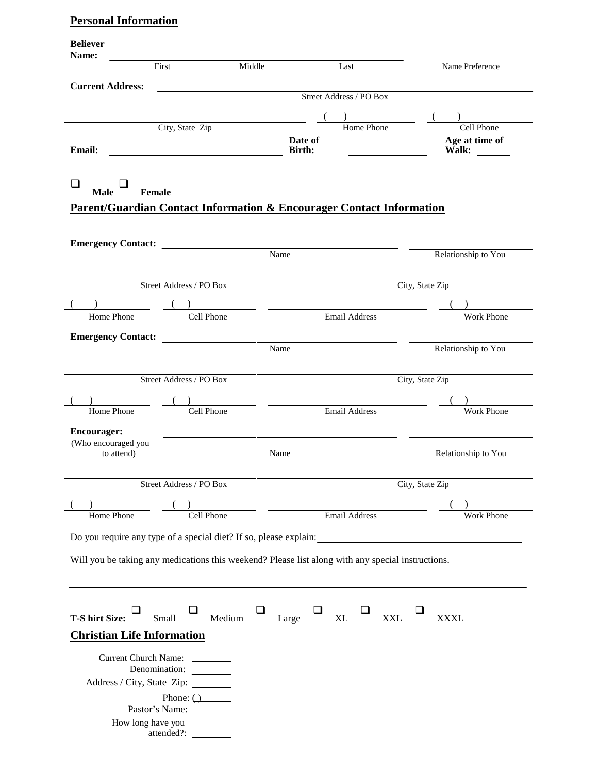# **Personal Information**

| <b>Believer</b><br>Name:          |                                |                                                                                                   |                           |
|-----------------------------------|--------------------------------|---------------------------------------------------------------------------------------------------|---------------------------|
|                                   | First                          | Middle<br>Last                                                                                    | Name Preference           |
| <b>Current Address:</b>           |                                | Street Address / PO Box                                                                           |                           |
|                                   |                                |                                                                                                   |                           |
|                                   | City, State Zip                | <b>Home Phone</b>                                                                                 | Cell Phone                |
|                                   |                                | Date of                                                                                           | Age at time of            |
| <b>Email:</b>                     |                                | <b>Birth:</b>                                                                                     | Walk:                     |
|                                   |                                |                                                                                                   |                           |
| □<br><b>Male</b><br>Female        |                                |                                                                                                   |                           |
|                                   |                                | <b>Parent/Guardian Contact Information &amp; Encourager Contact Information</b>                   |                           |
|                                   |                                |                                                                                                   |                           |
|                                   |                                | Name                                                                                              | Relationship to You       |
|                                   |                                |                                                                                                   |                           |
|                                   | Street Address / PO Box        |                                                                                                   | City, State Zip           |
|                                   |                                |                                                                                                   |                           |
| Home Phone                        | Cell Phone                     | ) and the set of $\overline{\phantom{a}}$<br>Email Address                                        | <b>Work Phone</b>         |
| <b>Emergency Contact:</b>         |                                |                                                                                                   |                           |
|                                   |                                | Name                                                                                              | Relationship to You       |
|                                   |                                |                                                                                                   |                           |
|                                   | Street Address / PO Box        |                                                                                                   | City, State Zip           |
|                                   |                                |                                                                                                   |                           |
| Home Phone                        | Cell Phone                     | <b>Email Address</b>                                                                              | <b>Work Phone</b>         |
| <b>Encourager:</b>                |                                |                                                                                                   |                           |
| (Who encouraged you<br>to attend) |                                | Name                                                                                              | Relationship to You       |
|                                   |                                |                                                                                                   |                           |
|                                   | Street Address / PO Box        |                                                                                                   | City, State Zip           |
|                                   |                                |                                                                                                   |                           |
| Home Phone                        | Cell Phone                     | <b>Email Address</b>                                                                              | Work Phone                |
|                                   |                                |                                                                                                   |                           |
|                                   |                                |                                                                                                   |                           |
|                                   |                                | Will you be taking any medications this weekend? Please list along with any special instructions. |                           |
|                                   |                                |                                                                                                   |                           |
|                                   |                                |                                                                                                   |                           |
| <b>T-S hirt Size:</b>             | Small<br>Medium                | Large<br>XL                                                                                       | <b>XXL</b><br><b>XXXL</b> |
| <b>Christian Life Information</b> |                                |                                                                                                   |                           |
|                                   |                                |                                                                                                   |                           |
|                                   | Current Church Name: _________ |                                                                                                   |                           |
|                                   | Address / City, State Zip:     |                                                                                                   |                           |
|                                   | Phone: $($                     |                                                                                                   |                           |
|                                   | Pastor's Name:                 |                                                                                                   |                           |
| How long have you                 |                                |                                                                                                   |                           |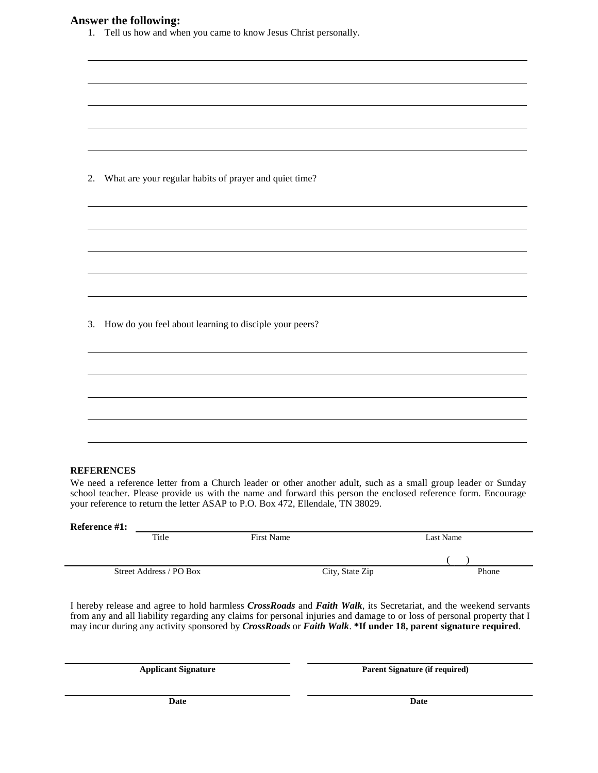## **Answer the following:**

| 1. Tell us how and when you came to know Jesus Christ personally. |  |  |
|-------------------------------------------------------------------|--|--|

|  |  |  |  |  | 2. What are your regular habits of prayer and quiet time? |
|--|--|--|--|--|-----------------------------------------------------------|
|--|--|--|--|--|-----------------------------------------------------------|

3. How do you feel about learning to disciple your peers?

#### **REFERENCES**

Ĭ.

We need a reference letter from a Church leader or other another adult, such as a small group leader or Sunday school teacher. Please provide us with the name and forward this person the enclosed reference form. Encourage your reference to return the letter ASAP to P.O. Box 472, Ellendale, TN 38029.

| Reference #1:           |            |                 |           |
|-------------------------|------------|-----------------|-----------|
| Title                   | First Name |                 | Last Name |
|                         |            |                 |           |
|                         |            |                 |           |
| Street Address / PO Box |            | City, State Zip | Phone     |
|                         |            |                 |           |

I hereby release and agree to hold harmless *CrossRoads* and *Faith Walk*, its Secretariat, and the weekend servants from any and all liability regarding any claims for personal injuries and damage to or loss of personal property that I may incur during any activity sponsored by *CrossRoads* or *Faith Walk*. **\*If under 18, parent signature required**.

**Applicant Signature Parent Signature (if required)**

**Date Date**